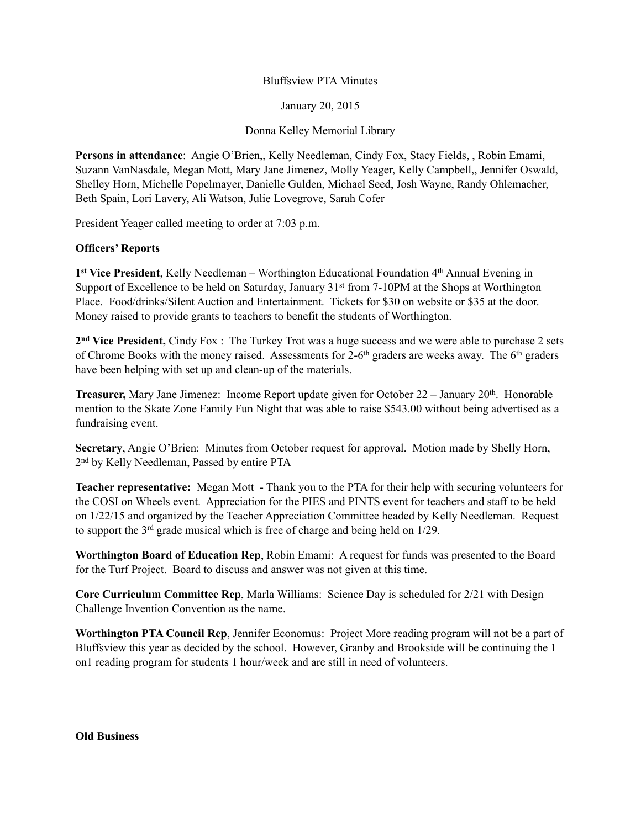## Bluffsview PTA Minutes

January 20, 2015

Donna Kelley Memorial Library

**Persons in attendance**: Angie O'Brien,, Kelly Needleman, Cindy Fox, Stacy Fields, , Robin Emami, Suzann VanNasdale, Megan Mott, Mary Jane Jimenez, Molly Yeager, Kelly Campbell,, Jennifer Oswald, Shelley Horn, Michelle Popelmayer, Danielle Gulden, Michael Seed, Josh Wayne, Randy Ohlemacher, Beth Spain, Lori Lavery, Ali Watson, Julie Lovegrove, Sarah Cofer

President Yeager called meeting to order at 7:03 p.m.

## **Officers' Reports**

1<sup>st</sup> Vice President, Kelly Needleman – Worthington Educational Foundation 4<sup>th</sup> Annual Evening in Support of Excellence to be held on Saturday, January 31<sup>st</sup> from 7-10PM at the Shops at Worthington Place. Food/drinks/Silent Auction and Entertainment. Tickets for \$30 on website or \$35 at the door. Money raised to provide grants to teachers to benefit the students of Worthington.

**2nd Vice President,** Cindy Fox : The Turkey Trot was a huge success and we were able to purchase 2 sets of Chrome Books with the money raised. Assessments for 2-6<sup>th</sup> graders are weeks away. The 6<sup>th</sup> graders have been helping with set up and clean-up of the materials.

**Treasurer,** Mary Jane Jimenez: Income Report update given for October 22 – January 20<sup>th</sup>. Honorable mention to the Skate Zone Family Fun Night that was able to raise \$543.00 without being advertised as a fundraising event.

**Secretary**, Angie O'Brien: Minutes from October request for approval. Motion made by Shelly Horn, 2nd by Kelly Needleman, Passed by entire PTA

**Teacher representative:** Megan Mott - Thank you to the PTA for their help with securing volunteers for the COSI on Wheels event. Appreciation for the PIES and PINTS event for teachers and staff to be held on 1/22/15 and organized by the Teacher Appreciation Committee headed by Kelly Needleman. Request to support the 3rd grade musical which is free of charge and being held on 1/29.

**Worthington Board of Education Rep**, Robin Emami: A request for funds was presented to the Board for the Turf Project. Board to discuss and answer was not given at this time.

**Core Curriculum Committee Rep**, Marla Williams: Science Day is scheduled for 2/21 with Design Challenge Invention Convention as the name.

**Worthington PTA Council Rep**, Jennifer Economus: Project More reading program will not be a part of Bluffsview this year as decided by the school. However, Granby and Brookside will be continuing the 1 on1 reading program for students 1 hour/week and are still in need of volunteers.

**Old Business**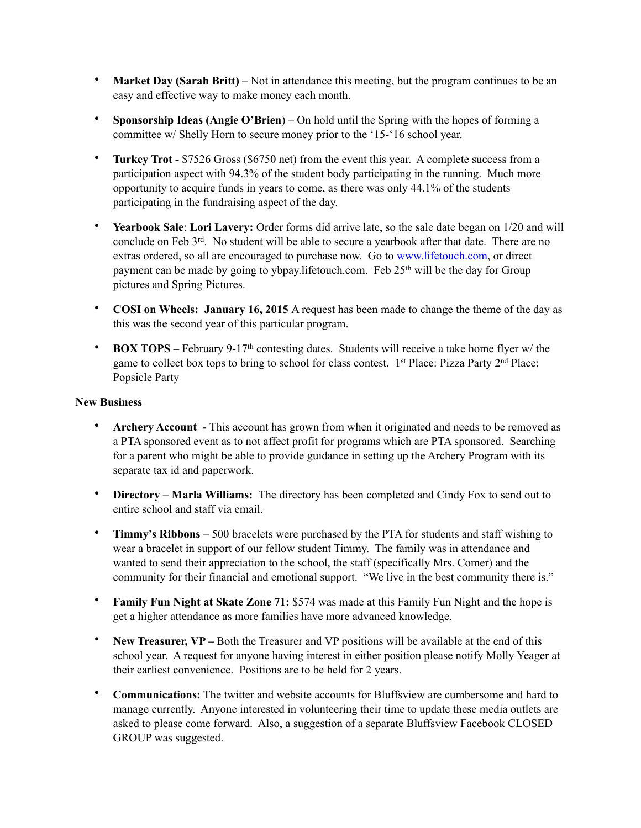- **Market Day (Sarah Britt)** Not in attendance this meeting, but the program continues to be an easy and effective way to make money each month.
- **Sponsorship Ideas (Angie O'Brien**) On hold until the Spring with the hopes of forming a committee w/ Shelly Horn to secure money prior to the '15-'16 school year.
- **Turkey Trot** \$7526 Gross (\$6750 net) from the event this year. A complete success from a participation aspect with 94.3% of the student body participating in the running. Much more opportunity to acquire funds in years to come, as there was only 44.1% of the students participating in the fundraising aspect of the day.
- **Yearbook Sale**: **Lori Lavery:** Order forms did arrive late, so the sale date began on 1/20 and will conclude on Feb 3<sup>rd</sup>. No student will be able to secure a yearbook after that date. There are no extras ordered, so all are encouraged to purchase now. Go to [www.lifetouch.com,](http://www.lifetouch.com) or direct payment can be made by going to ybpay.lifetouch.com. Feb 25<sup>th</sup> will be the day for Group pictures and Spring Pictures.
- **COSI on Wheels: January 16, 2015** A request has been made to change the theme of the day as this was the second year of this particular program.
- **BOX TOPS** February 9-17<sup>th</sup> contesting dates. Students will receive a take home flyer w/ the game to collect box tops to bring to school for class contest. 1<sup>st</sup> Place: Pizza Party 2<sup>nd</sup> Place: Popsicle Party

## **New Business**

- **Archery Account** This account has grown from when it originated and needs to be removed as a PTA sponsored event as to not affect profit for programs which are PTA sponsored. Searching for a parent who might be able to provide guidance in setting up the Archery Program with its separate tax id and paperwork.
- **Directory Marla Williams:** The directory has been completed and Cindy Fox to send out to entire school and staff via email.
- **Timmy's Ribbons –** 500 bracelets were purchased by the PTA for students and staff wishing to wear a bracelet in support of our fellow student Timmy. The family was in attendance and wanted to send their appreciation to the school, the staff (specifically Mrs. Comer) and the community for their financial and emotional support. "We live in the best community there is."
- **Family Fun Night at Skate Zone 71:** \$574 was made at this Family Fun Night and the hope is get a higher attendance as more families have more advanced knowledge.
- **New Treasurer, VP** Both the Treasurer and VP positions will be available at the end of this school year. A request for anyone having interest in either position please notify Molly Yeager at their earliest convenience. Positions are to be held for 2 years.
- **Communications:** The twitter and website accounts for Bluffsview are cumbersome and hard to manage currently. Anyone interested in volunteering their time to update these media outlets are asked to please come forward. Also, a suggestion of a separate Bluffsview Facebook CLOSED GROUP was suggested.